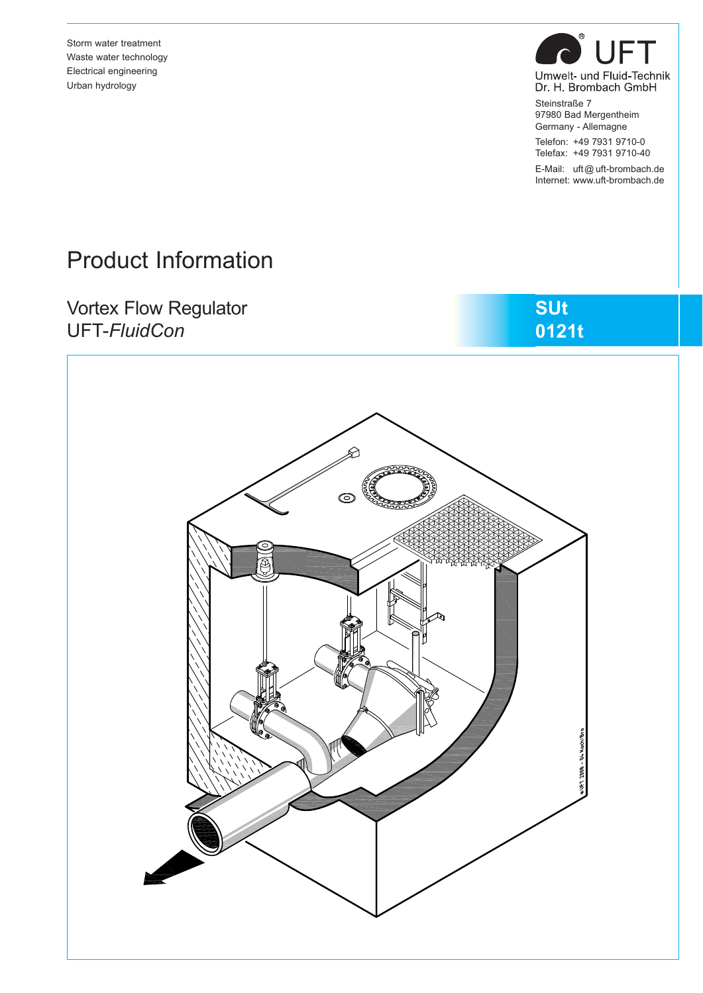Storm water treatment Waste water technology Electrical engineering Urban hydrology



Dr. H. Brombach GmbH Steinstraße 7 97980 Bad Mergentheim

Germany - Allemagne Telefon: +49 7931 9710-0 Telefax: +49 7931 9710-40

E-Mail: uft@ uft-brombach.de Internet: www.uft-brombach.de

# Product Information

## Vortex Flow Regulator UFT-*FluidCon*



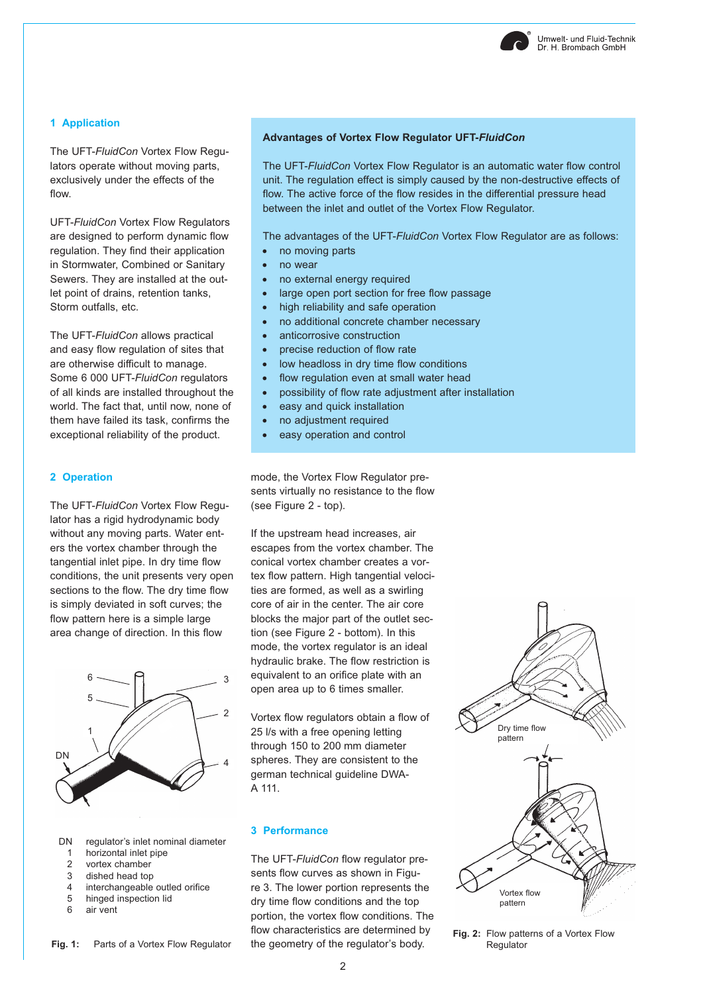#### **1 Application**

The UFT-*FluidCon* Vortex Flow Regulators operate without moving parts, exclusively under the effects of the flow.

UFT-*FluidCon* Vortex Flow Regulators are designed to perform dynamic flow regulation. They find their application in Stormwater, Combined or Sanitary Sewers. They are installed at the outlet point of drains, retention tanks, Storm outfalls, etc.

The UFT-*FluidCon* allows practical and easy flow regulation of sites that are otherwise difficult to manage. Some 6 000 UFT-*FluidCon* regulators of all kinds are installed throughout the world. The fact that, until now, none of them have failed its task, confirms the exceptional reliability of the product.

#### **2 Operation**

The UFT-*FluidCon* Vortex Flow Regulator has a rigid hydrodynamic body without any moving parts. Water enters the vortex chamber through the tangential inlet pipe. In dry time flow conditions, the unit presents very open sections to the flow. The dry time flow is simply deviated in soft curves; the flow pattern here is a simple large area change of direction. In this flow



- DN regulator's inlet nominal diameter
- 1 horizontal inlet pipe<br>2 yortex chamber
- vortex chamber
- 3 dished head top
- 4 interchangeable outled orifice
- 5 hinged inspection lid
- 6 air vent

#### **Advantages of Vortex Flow Regulator UFT-***FluidCon*

The UFT-*FluidCon* Vortex Flow Regulator is an automatic water flow control unit. The regulation effect is simply caused by the non-destructive effects of flow. The active force of the flow resides in the differential pressure head between the inlet and outlet of the Vortex Flow Regulator.

The advantages of the UFT-*FluidCon* Vortex Flow Regulator are as follows:

- no moving parts
- no wear
- no external energy required
- large open port section for free flow passage
- high reliability and safe operation
- no additional concrete chamber necessary
- anticorrosive construction
- precise reduction of flow rate
- low headloss in dry time flow conditions
- flow regulation even at small water head
- possibility of flow rate adjustment after installation
- easy and quick installation
- no adjustment required
- easy operation and control

mode, the Vortex Flow Regulator presents virtually no resistance to the flow (see Figure 2 - top).

If the upstream head increases, air escapes from the vortex chamber. The conical vortex chamber creates a vortex flow pattern. High tangential velocities are formed, as well as a swirling core of air in the center. The air core blocks the major part of the outlet section (see Figure 2 - bottom). In this mode, the vortex regulator is an ideal hydraulic brake. The flow restriction is equivalent to an orifice plate with an open area up to 6 times smaller.

Vortex flow regulators obtain a flow of 25 l/s with a free opening letting through 150 to 200 mm diameter spheres. They are consistent to the german technical guideline DWA-A 111.

#### **3 Performance**

The UFT-*FluidCon* flow regulator presents flow curves as shown in Figure 3. The lower portion represents the dry time flow conditions and the top portion, the vortex flow conditions. The flow characteristics are determined by the geometry of the regulator's body.



**Fig. 2:** Flow patterns of a Vortex Flow Regulator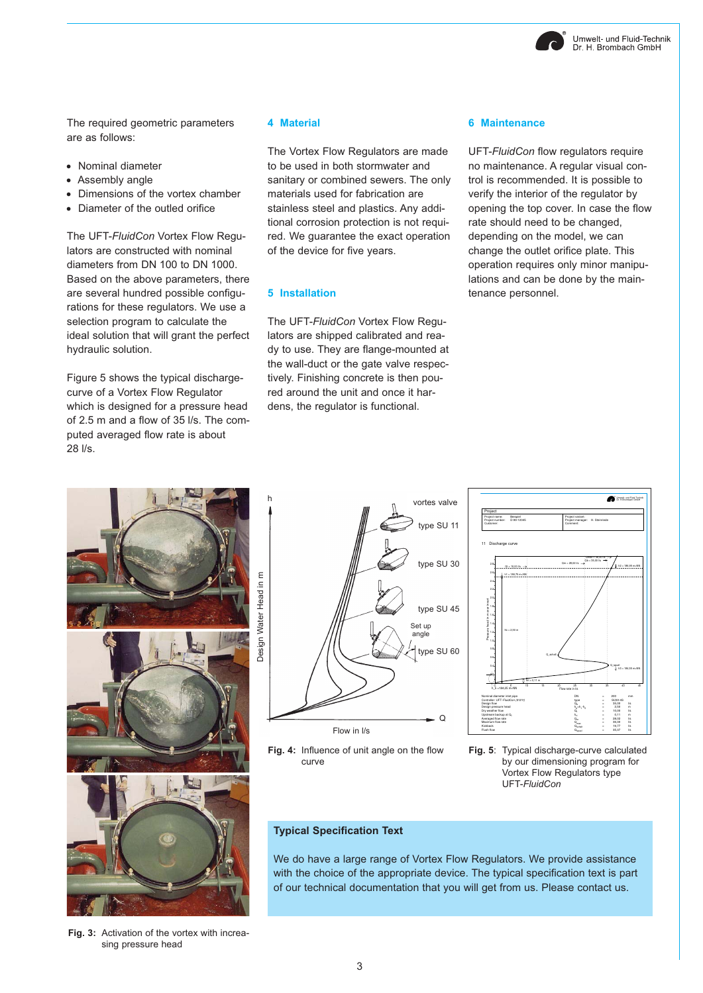

The required geometric parameters are as follows:

- Nominal diameter
- Assembly angle
- Dimensions of the vortex chamber
- Diameter of the outled orifice

The UFT-*FluidCon* Vortex Flow Regulators are constructed with nominal diameters from DN 100 to DN 1000. Based on the above parameters, there are several hundred possible configurations for these regulators. We use a selection program to calculate the ideal solution that will grant the perfect hydraulic solution.

Figure 5 shows the typical dischargecurve of a Vortex Flow Regulator which is designed for a pressure head of 2.5 m and a flow of 35 l/s. The computed averaged flow rate is about 28 l/s.

#### **4 Material**

The Vortex Flow Regulators are made to be used in both stormwater and sanitary or combined sewers. The only materials used for fabrication are stainless steel and plastics. Any additional corrosion protection is not required. We guarantee the exact operation of the device for five years.

#### **5 Installation**

The UFT-*FluidCon* Vortex Flow Regulators are shipped calibrated and ready to use. They are flange-mounted at the wall-duct or the gate valve respectively. Finishing concrete is then poured around the unit and once it hardens, the regulator is functional.

#### **6 Maintenance**

UFT-*FluidCon* flow regulators require no maintenance. A regular visual control is recommended. It is possible to verify the interior of the regulator by opening the top cover. In case the flow rate should need to be changed, depending on the model, we can change the outlet orifice plate. This operation requires only minor manipulations and can be done by the maintenance personnel.



Flow in l/s Set up angle type SU 11 type SU 30 type SU 45 type SU 60  $\mathsf{C}$ 

**Fig. 4:** Influence of unit angle on the flow curve



**Fig. 5**: Typical discharge-curve calculated by our dimensioning program for Vortex Flow Regulators type UFT-*FluidCon*

#### **Typical Specification Text**

We do have a large range of Vortex Flow Regulators. We provide assistance with the choice of the appropriate device. The typical specification text is part of our technical documentation that you will get from us. Please contact us.

**Fig. 3:** Activation of the vortex with increasing pressure head